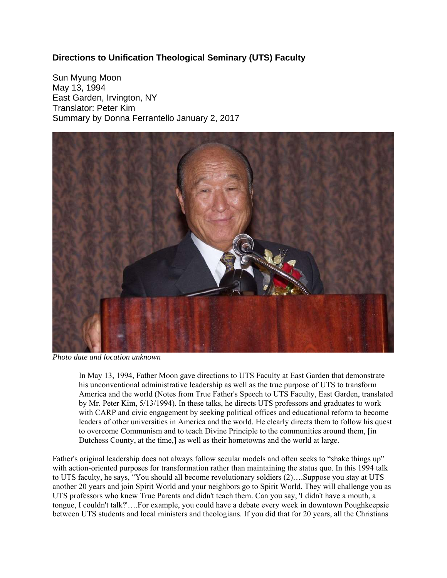## **Directions to Unification Theological Seminary (UTS) Faculty**

Sun Myung Moon May 13, 1994 East Garden, Irvington, NY Translator: Peter Kim Summary by Donna Ferrantello January 2, 2017



*Photo date and location unknown*

In May 13, 1994, Father Moon gave directions to UTS Faculty at East Garden that demonstrate his unconventional administrative leadership as well as the true purpose of UTS to transform America and the world (Notes from True Father's Speech to UTS Faculty, East Garden, translated by Mr. Peter Kim, 5/13/1994). In these talks, he directs UTS professors and graduates to work with CARP and civic engagement by seeking political offices and educational reform to become leaders of other universities in America and the world. He clearly directs them to follow his quest to overcome Communism and to teach Divine Principle to the communities around them, [in Dutchess County, at the time,] as well as their hometowns and the world at large.

Father's original leadership does not always follow secular models and often seeks to "shake things up" with action-oriented purposes for transformation rather than maintaining the status quo. In this 1994 talk to UTS faculty, he says, "You should all become revolutionary soldiers (2)….Suppose you stay at UTS another 20 years and join Spirit World and your neighbors go to Spirit World. They will challenge you as UTS professors who knew True Parents and didn't teach them. Can you say, 'I didn't have a mouth, a tongue, I couldn't talk?'….For example, you could have a debate every week in downtown Poughkeepsie between UTS students and local ministers and theologians. If you did that for 20 years, all the Christians